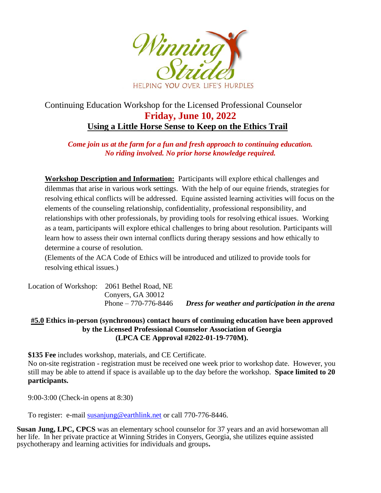

## Continuing Education Workshop for the Licensed Professional Counselor **Friday, June 10, 2022 Using a Little Horse Sense to Keep on the Ethics Trail**

## *Come join us at the farm for a fun and fresh approach to continuing education. No riding involved. No prior horse knowledge required.*

**Workshop Description and Information:** Participants will explore ethical challenges and dilemmas that arise in various work settings. With the help of our equine friends, strategies for resolving ethical conflicts will be addressed. Equine assisted learning activities will focus on the elements of the counseling relationship, confidentiality, professional responsibility, and relationships with other professionals, by providing tools for resolving ethical issues. Working as a team, participants will explore ethical challenges to bring about resolution. Participants will learn how to assess their own internal conflicts during therapy sessions and how ethically to determine a course of resolution.

(Elements of the ACA Code of Ethics will be introduced and utilized to provide tools for resolving ethical issues.)

| Location of Workshop: 2061 Bethel Road, NE |                       |                                                  |
|--------------------------------------------|-----------------------|--------------------------------------------------|
|                                            | Convers, GA 30012     |                                                  |
|                                            | Phone $-770-776-8446$ | Dress for weather and participation in the arena |

## **#5.0 Ethics in-person (synchronous) contact hours of continuing education have been approved by the Licensed Professional Counselor Association of Georgia (LPCA CE Approval #2022-01-19-770M).**

**\$135 Fee** includes workshop, materials, and CE Certificate.

No on-site registration - registration must be received one week prior to workshop date. However, you still may be able to attend if space is available up to the day before the workshop. **Space limited to 20 participants.**

9:00-3:00 (Check-in opens at 8:30)

To register: e-mail [susanjung@earthlink.net](mailto:susanjung@earthlink.net) or call 770-776-8446.

**Susan Jung, LPC, CPCS** was an elementary school counselor for 37 years and an avid horsewoman all her life. In her private practice at Winning Strides in Conyers, Georgia, she utilizes equine assisted psychotherapy and learning activities for individuals and groups**.**